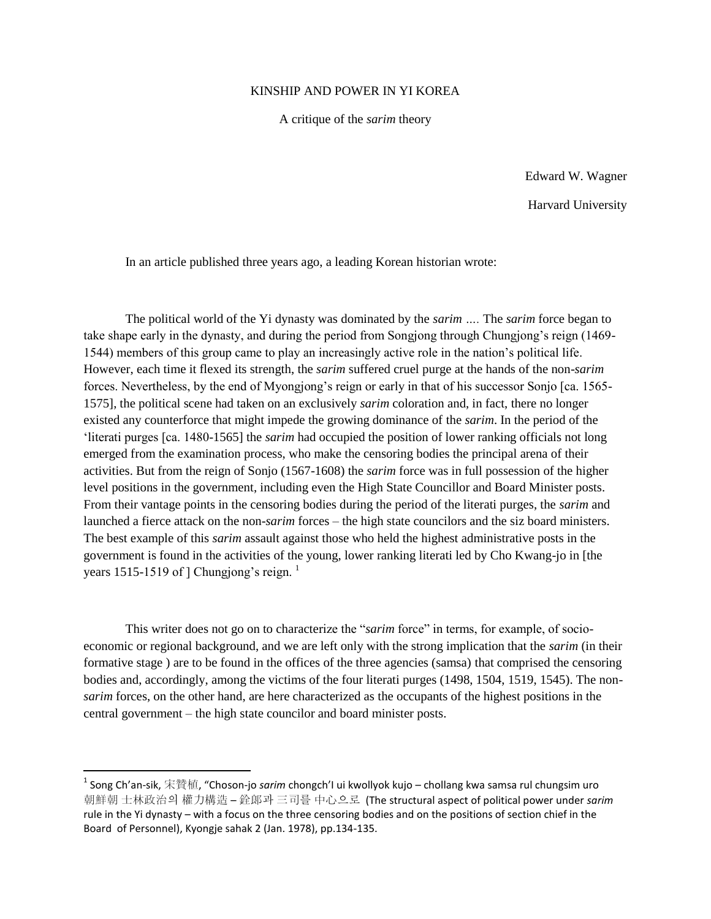## KINSHIP AND POWER IN YI KOREA

A critique of the *sarim* theory

Edward W. Wagner Harvard University

In an article published three years ago, a leading Korean historian wrote:

The political world of the Yi dynasty was dominated by the *sarim ….* The *sarim* force began to take shape early in the dynasty, and during the period from Songjong through Chungjong"s reign (1469- 1544) members of this group came to play an increasingly active role in the nation"s political life. However, each time it flexed its strength, the *sarim* suffered cruel purge at the hands of the non-*sarim* forces. Nevertheless, by the end of Myongjong"s reign or early in that of his successor Sonjo [ca. 1565- 1575], the political scene had taken on an exclusively *sarim* coloration and, in fact, there no longer existed any counterforce that might impede the growing dominance of the *sarim*. In the period of the "literati purges [ca. 1480-1565] the *sarim* had occupied the position of lower ranking officials not long emerged from the examination process, who make the censoring bodies the principal arena of their activities. But from the reign of Sonjo (1567-1608) the *sarim* force was in full possession of the higher level positions in the government, including even the High State Councillor and Board Minister posts. From their vantage points in the censoring bodies during the period of the literati purges, the *sarim* and launched a fierce attack on the non-*sarim* forces – the high state councilors and the siz board ministers. The best example of this *sarim* assault against those who held the highest administrative posts in the government is found in the activities of the young, lower ranking literati led by Cho Kwang-jo in [the years 1515-1519 of  $\vert$  Chungjong's reign.  $\vert$ 

This writer does not go on to characterize the "*sarim* force" in terms, for example, of socioeconomic or regional background, and we are left only with the strong implication that the *sarim* (in their formative stage ) are to be found in the offices of the three agencies (samsa) that comprised the censoring bodies and, accordingly, among the victims of the four literati purges (1498, 1504, 1519, 1545). The non*sarim* forces, on the other hand, are here characterized as the occupants of the highest positions in the central government – the high state councilor and board minister posts.

<sup>&</sup>lt;sup>1</sup> Song Ch'an-sik, 宋贊植, "Choson-jo *sarim* chongch'I ui kwollyok kujo – chollang kwa samsa rul chungsim uro 朝鮮朝 士林政治의 權力構造 – 銓郞과 三司를 中心으로 (The structural aspect of political power under *sarim* rule in the Yi dynasty – with a focus on the three censoring bodies and on the positions of section chief in the Board of Personnel), Kyongje sahak 2 (Jan. 1978), pp.134-135.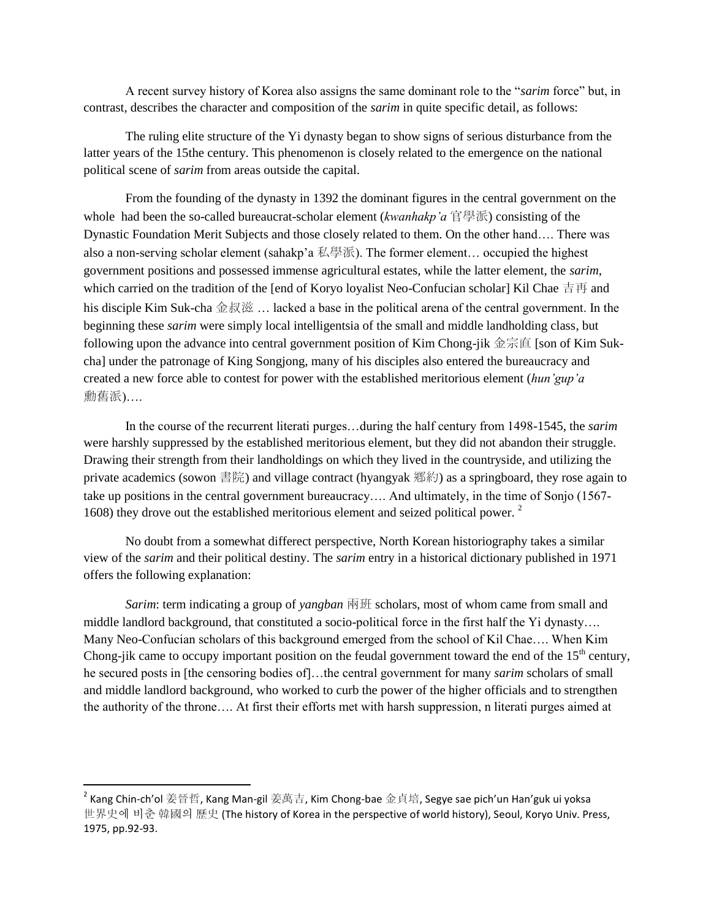A recent survey history of Korea also assigns the same dominant role to the "*sarim* force" but, in contrast, describes the character and composition of the *sarim* in quite specific detail, as follows:

The ruling elite structure of the Yi dynasty began to show signs of serious disturbance from the latter years of the 15the century. This phenomenon is closely related to the emergence on the national political scene of *sarim* from areas outside the capital.

From the founding of the dynasty in 1392 the dominant figures in the central government on the whole had been the so-called bureaucrat-scholar element (*kwanhakp'a* 官學派) consisting of the Dynastic Foundation Merit Subjects and those closely related to them. On the other hand…. There was also a non-serving scholar element (sahakp'a 私學派). The former element… occupied the highest government positions and possessed immense agricultural estates, while the latter element, the *sarim*, which carried on the tradition of the [end of Koryo loyalist Neo-Confucian scholar] Kil Chae 吉再 and his disciple Kim Suk-cha 金叔滋 … lacked a base in the political arena of the central government. In the beginning these *sarim* were simply local intelligentsia of the small and middle landholding class, but following upon the advance into central government position of Kim Chong-jik 金宗直 [son of Kim Sukcha] under the patronage of King Songjong, many of his disciples also entered the bureaucracy and created a new force able to contest for power with the established meritorious element (*hun'gup'a* 勳舊派)….

In the course of the recurrent literati purges…during the half century from 1498-1545, the *sarim* were harshly suppressed by the established meritorious element, but they did not abandon their struggle. Drawing their strength from their landholdings on which they lived in the countryside, and utilizing the private academics (sowon 書院) and village contract (hyangyak 鄕約) as a springboard, they rose again to take up positions in the central government bureaucracy…. And ultimately, in the time of Sonjo (1567- 1608) they drove out the established meritorious element and seized political power. <sup>2</sup>

No doubt from a somewhat differect perspective, North Korean historiography takes a similar view of the *sarim* and their political destiny. The *sarim* entry in a historical dictionary published in 1971 offers the following explanation:

*Sarim*: term indicating a group of *yangban* 兩班 scholars, most of whom came from small and middle landlord background, that constituted a socio-political force in the first half the Yi dynasty…. Many Neo-Confucian scholars of this background emerged from the school of Kil Chae…. When Kim Chong-jik came to occupy important position on the feudal government toward the end of the  $15<sup>th</sup>$  century, he secured posts in [the censoring bodies of]…the central government for many *sarim* scholars of small and middle landlord background, who worked to curb the power of the higher officials and to strengthen the authority of the throne…. At first their efforts met with harsh suppression, n literati purges aimed at

 $^{\text{\tiny 2}}$  Kang Chin-ch'ol 姜晉哲, Kang Man-gil 姜萬吉, Kim Chong-bae 金貞培, Segye sae pich'un Han'guk ui yoksa 世界史에 비춘 韓國의 歷史 (The history of Korea in the perspective of world history), Seoul, Koryo Univ. Press, 1975, pp.92-93.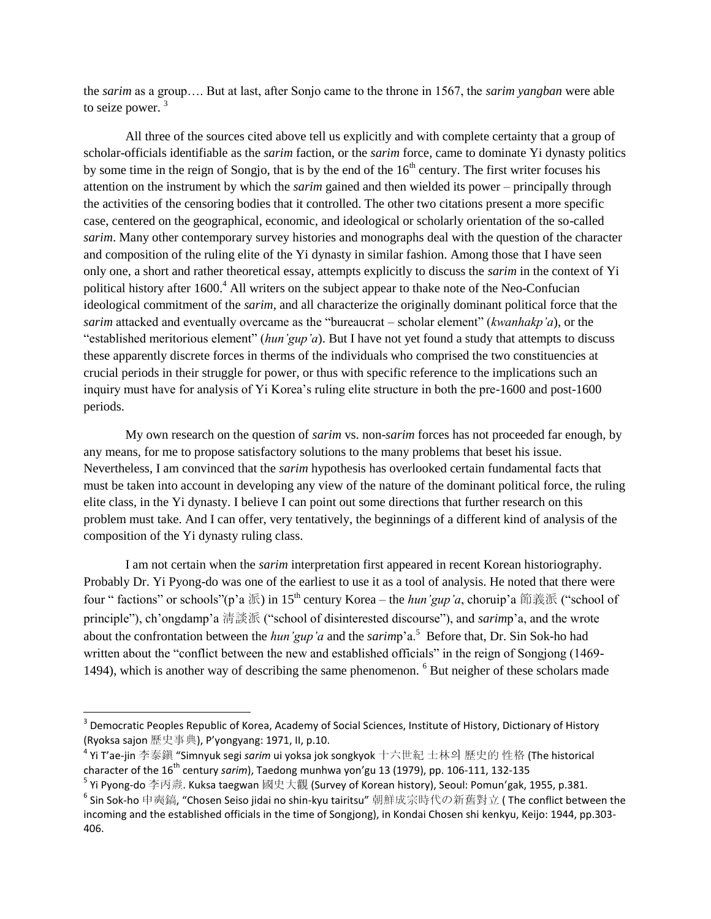the *sarim* as a group…. But at last, after Sonjo came to the throne in 1567, the *sarim yangban* were able to seize power.<sup>3</sup>

All three of the sources cited above tell us explicitly and with complete certainty that a group of scholar-officials identifiable as the *sarim* faction, or the *sarim* force, came to dominate Yi dynasty politics by some time in the reign of Songjo, that is by the end of the  $16<sup>th</sup>$  century. The first writer focuses his attention on the instrument by which the *sarim* gained and then wielded its power – principally through the activities of the censoring bodies that it controlled. The other two citations present a more specific case, centered on the geographical, economic, and ideological or scholarly orientation of the so-called *sarim*. Many other contemporary survey histories and monographs deal with the question of the character and composition of the ruling elite of the Yi dynasty in similar fashion. Among those that I have seen only one, a short and rather theoretical essay, attempts explicitly to discuss the *sarim* in the context of Yi political history after 1600.<sup>4</sup> All writers on the subject appear to thake note of the Neo-Confucian ideological commitment of the *sarim*, and all characterize the originally dominant political force that the *sarim* attacked and eventually overcame as the "bureaucrat – scholar element" (*kwanhakp'a*), or the "established meritorious element" (*hun'gup'a*). But I have not yet found a study that attempts to discuss these apparently discrete forces in therms of the individuals who comprised the two constituencies at crucial periods in their struggle for power, or thus with specific reference to the implications such an inquiry must have for analysis of Yi Korea"s ruling elite structure in both the pre-1600 and post-1600 periods.

My own research on the question of *sarim* vs. non-*sarim* forces has not proceeded far enough, by any means, for me to propose satisfactory solutions to the many problems that beset his issue. Nevertheless, I am convinced that the *sarim* hypothesis has overlooked certain fundamental facts that must be taken into account in developing any view of the nature of the dominant political force, the ruling elite class, in the Yi dynasty. I believe I can point out some directions that further research on this problem must take. And I can offer, very tentatively, the beginnings of a different kind of analysis of the composition of the Yi dynasty ruling class.

I am not certain when the *sarim* interpretation first appeared in recent Korean historiography. Probably Dr. Yi Pyong-do was one of the earliest to use it as a tool of analysis. He noted that there were four " factions" or schools"(p'a 派) in 15<sup>th</sup> century Korea – the *hun'gup'a*, choruip'a 節義派 ("school of principle"), ch'ongdamp'a 清談派 ("school of disinterested discourse"), and *sarim*p'a, and the wrote about the confrontation between the *hun'gup'a* and the *sarim*p'a.<sup>5</sup> Before that, Dr. Sin Sok-ho had written about the "conflict between the new and established officials" in the reign of Songjong (1469- 1494), which is another way of describing the same phenomenon. <sup>6</sup> But neigher of these scholars made

<sup>&</sup>lt;sup>3</sup> Democratic Peoples Republic of Korea, Academy of Social Sciences, Institute of History, Dictionary of History (Ryoksa sajon 歷史事典), P'yongyang: 1971, II, p.10.

<sup>4</sup> Yi T'ae-jin 李泰鎭 "Simnyuk segi *sarim* ui yoksa jok songkyok 十六世紀 士林의 歷史的 性格 (The historical character of the 16<sup>th</sup> century *sarim*), Taedong munhwa yon'gu 13 (1979), pp. 106-111, 132-135

 $^5$  Yi Pyong-do 李丙燾. Kuksa taegwan 國史大觀 (Survey of Korean history), Seoul: Pomun'gak, 1955, p.381.

 $^6$  Sin Sok-ho 申奭鎬, "Chosen Seiso jidai no shin-kyu tairitsu" 朝鮮成宗時代の新舊對立 ( The conflict between the incoming and the established officials in the time of Songjong), in Kondai Chosen shi kenkyu, Keijo: 1944, pp.303- 406.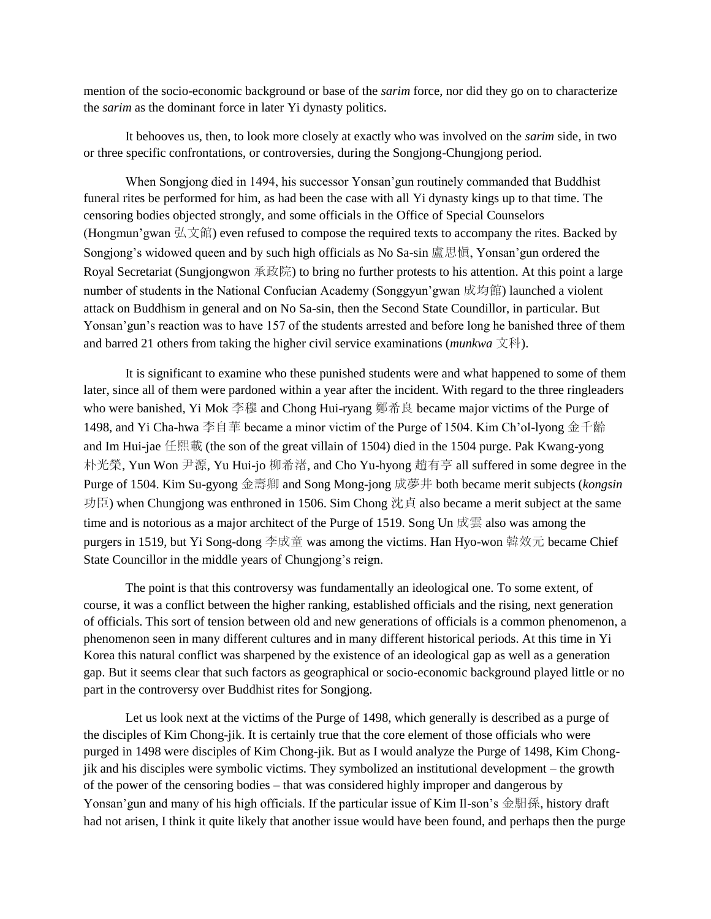mention of the socio-economic background or base of the *sarim* force, nor did they go on to characterize the *sarim* as the dominant force in later Yi dynasty politics.

It behooves us, then, to look more closely at exactly who was involved on the *sarim* side, in two or three specific confrontations, or controversies, during the Songjong-Chungjong period.

When Songjong died in 1494, his successor Yonsan"gun routinely commanded that Buddhist funeral rites be performed for him, as had been the case with all Yi dynasty kings up to that time. The censoring bodies objected strongly, and some officials in the Office of Special Counselors (Hongmun'gwan  $\frac{1}{2}$ ) even refused to compose the required texts to accompany the rites. Backed by Songjong"s widowed queen and by such high officials as No Sa-sin 盧思愼, Yonsan"gun ordered the Royal Secretariat (Sungjongwon 承政院) to bring no further protests to his attention. At this point a large number of students in the National Confucian Academy (Songgyun"gwan 成均館) launched a violent attack on Buddhism in general and on No Sa-sin, then the Second State Coundillor, in particular. But Yonsan'gun's reaction was to have 157 of the students arrested and before long he banished three of them and barred 21 others from taking the higher civil service examinations (*munkwa* 文科).

It is significant to examine who these punished students were and what happened to some of them later, since all of them were pardoned within a year after the incident. With regard to the three ringleaders who were banished, Yi Mok 李穆 and Chong Hui-ryang 鄭希良 became major victims of the Purge of 1498, and Yi Cha-hwa 李自華 became a minor victim of the Purge of 1504. Kim Ch'ol-lyong 金千齡 and Im Hui-jae 任熙載 (the son of the great villain of 1504) died in the 1504 purge. Pak Kwang-yong 朴光榮, Yun Won 尹源, Yu Hui-jo 柳希渚, and Cho Yu-hyong 趙有亨 all suffered in some degree in the Purge of 1504. Kim Su-gyong 金壽卿 and Song Mong-jong 成夢井 both became merit subjects (*kongsin* 功臣) when Chungjong was enthroned in 1506. Sim Chong 沈貞 also became a merit subject at the same time and is notorious as a major architect of the Purge of 1519. Song Un 成雲 also was among the purgers in 1519, but Yi Song-dong 李成童 was among the victims. Han Hyo-won 韓效元 became Chief State Councillor in the middle years of Chungjong's reign.

The point is that this controversy was fundamentally an ideological one. To some extent, of course, it was a conflict between the higher ranking, established officials and the rising, next generation of officials. This sort of tension between old and new generations of officials is a common phenomenon, a phenomenon seen in many different cultures and in many different historical periods. At this time in Yi Korea this natural conflict was sharpened by the existence of an ideological gap as well as a generation gap. But it seems clear that such factors as geographical or socio-economic background played little or no part in the controversy over Buddhist rites for Songjong.

Let us look next at the victims of the Purge of 1498, which generally is described as a purge of the disciples of Kim Chong-jik. It is certainly true that the core element of those officials who were purged in 1498 were disciples of Kim Chong-jik. But as I would analyze the Purge of 1498, Kim Chongjik and his disciples were symbolic victims. They symbolized an institutional development – the growth of the power of the censoring bodies – that was considered highly improper and dangerous by Yonsan' gun and many of his high officials. If the particular issue of Kim Il-son's 金馹孫, history draft had not arisen, I think it quite likely that another issue would have been found, and perhaps then the purge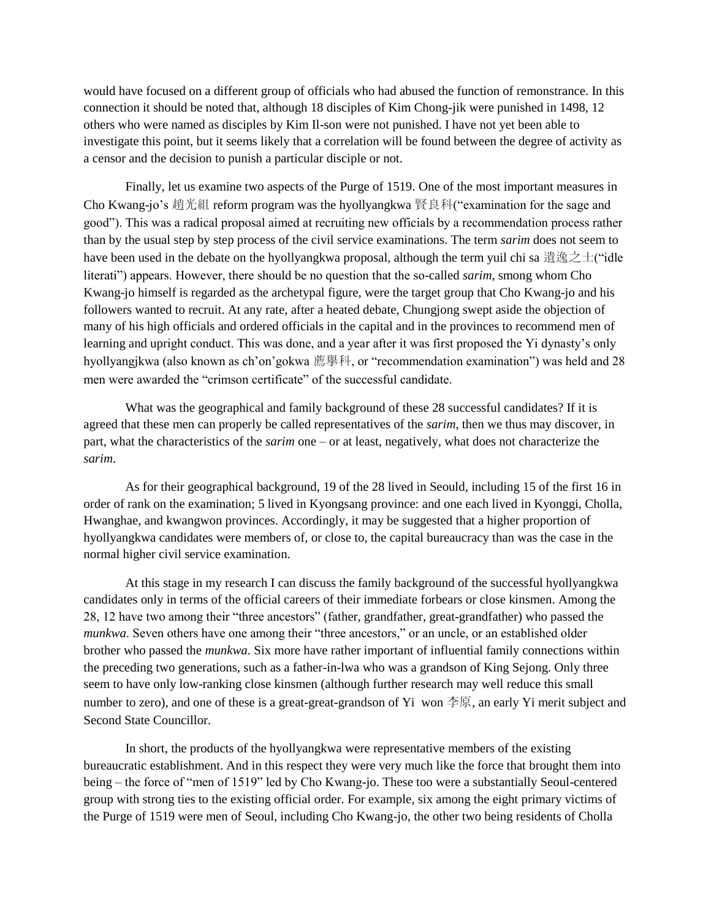would have focused on a different group of officials who had abused the function of remonstrance. In this connection it should be noted that, although 18 disciples of Kim Chong-jik were punished in 1498, 12 others who were named as disciples by Kim Il-son were not punished. I have not yet been able to investigate this point, but it seems likely that a correlation will be found between the degree of activity as a censor and the decision to punish a particular disciple or not.

Finally, let us examine two aspects of the Purge of 1519. One of the most important measures in Cho Kwang-jo's 趙光組 reform program was the hyollyangkwa 賢良科("examination for the sage and good"). This was a radical proposal aimed at recruiting new officials by a recommendation process rather than by the usual step by step process of the civil service examinations. The term *sarim* does not seem to have been used in the debate on the hyollyangkwa proposal, although the term yuil chi sa 遺逸之士("idle literati") appears. However, there should be no question that the so-called *sarim*, smong whom Cho Kwang-jo himself is regarded as the archetypal figure, were the target group that Cho Kwang-jo and his followers wanted to recruit. At any rate, after a heated debate, Chungjong swept aside the objection of many of his high officials and ordered officials in the capital and in the provinces to recommend men of learning and upright conduct. This was done, and a year after it was first proposed the Yi dynasty"s only hyollyangjkwa (also known as ch"on"gokwa 薦擧科, or "recommendation examination") was held and 28 men were awarded the "crimson certificate" of the successful candidate.

What was the geographical and family background of these 28 successful candidates? If it is agreed that these men can properly be called representatives of the *sarim*, then we thus may discover, in part, what the characteristics of the *sarim* one – or at least, negatively, what does not characterize the *sarim*.

As for their geographical background, 19 of the 28 lived in Seould, including 15 of the first 16 in order of rank on the examination; 5 lived in Kyongsang province: and one each lived in Kyonggi, Cholla, Hwanghae, and kwangwon provinces. Accordingly, it may be suggested that a higher proportion of hyollyangkwa candidates were members of, or close to, the capital bureaucracy than was the case in the normal higher civil service examination.

At this stage in my research I can discuss the family background of the successful hyollyangkwa candidates only in terms of the official careers of their immediate forbears or close kinsmen. Among the 28, 12 have two among their "three ancestors" (father, grandfather, great-grandfather) who passed the *munkwa*. Seven others have one among their "three ancestors," or an uncle, or an established older brother who passed the *munkwa*. Six more have rather important of influential family connections within the preceding two generations, such as a father-in-lwa who was a grandson of King Sejong. Only three seem to have only low-ranking close kinsmen (although further research may well reduce this small number to zero), and one of these is a great-great-grandson of Yi won 李原, an early Yi merit subject and Second State Councillor.

In short, the products of the hyollyangkwa were representative members of the existing bureaucratic establishment. And in this respect they were very much like the force that brought them into being – the force of "men of 1519" led by Cho Kwang-jo. These too were a substantially Seoul-centered group with strong ties to the existing official order. For example, six among the eight primary victims of the Purge of 1519 were men of Seoul, including Cho Kwang-jo, the other two being residents of Cholla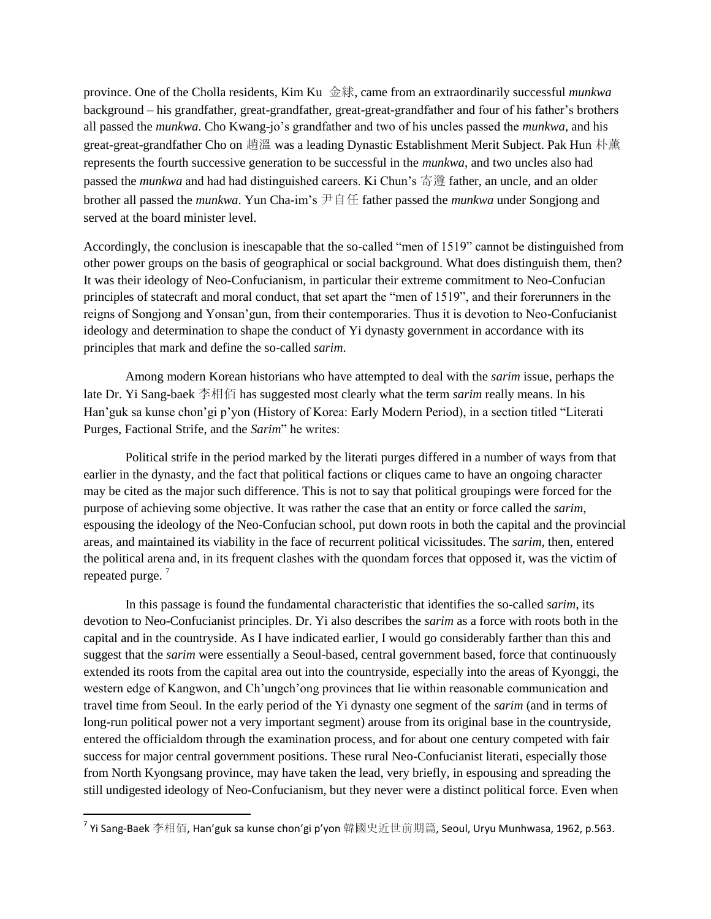province. One of the Cholla residents, Kim Ku 金絿, came from an extraordinarily successful *munkwa* background – his grandfather, great-grandfather, great-great-grandfather and four of his father"s brothers all passed the *munkwa*. Cho Kwang-jo"s grandfather and two of his uncles passed the *munkwa*, and his great-great-grandfather Cho on 趙溫 was a leading Dynastic Establishment Merit Subject. Pak Hun 朴薰 represents the fourth successive generation to be successful in the *munkwa*, and two uncles also had passed the *munkwa* and had had distinguished careers. Ki Chun"s 寄遵 father, an uncle, and an older brother all passed the *munkwa*. Yun Cha-im"s 尹自任 father passed the *munkwa* under Songjong and served at the board minister level.

Accordingly, the conclusion is inescapable that the so-called "men of 1519" cannot be distinguished from other power groups on the basis of geographical or social background. What does distinguish them, then? It was their ideology of Neo-Confucianism, in particular their extreme commitment to Neo-Confucian principles of statecraft and moral conduct, that set apart the "men of 1519", and their forerunners in the reigns of Songjong and Yonsan"gun, from their contemporaries. Thus it is devotion to Neo-Confucianist ideology and determination to shape the conduct of Yi dynasty government in accordance with its principles that mark and define the so-called *sarim*.

Among modern Korean historians who have attempted to deal with the *sarim* issue, perhaps the late Dr. Yi Sang-baek 李相佰 has suggested most clearly what the term *sarim* really means. In his Han"guk sa kunse chon"gi p"yon (History of Korea: Early Modern Period), in a section titled "Literati Purges, Factional Strife, and the *Sarim*" he writes:

Political strife in the period marked by the literati purges differed in a number of ways from that earlier in the dynasty, and the fact that political factions or cliques came to have an ongoing character may be cited as the major such difference. This is not to say that political groupings were forced for the purpose of achieving some objective. It was rather the case that an entity or force called the *sarim*, espousing the ideology of the Neo-Confucian school, put down roots in both the capital and the provincial areas, and maintained its viability in the face of recurrent political vicissitudes. The *sarim*, then, entered the political arena and, in its frequent clashes with the quondam forces that opposed it, was the victim of repeated purge.<sup>7</sup>

In this passage is found the fundamental characteristic that identifies the so-called *sarim*, its devotion to Neo-Confucianist principles. Dr. Yi also describes the *sarim* as a force with roots both in the capital and in the countryside. As I have indicated earlier, I would go considerably farther than this and suggest that the *sarim* were essentially a Seoul-based, central government based, force that continuously extended its roots from the capital area out into the countryside, especially into the areas of Kyonggi, the western edge of Kangwon, and Ch"ungch"ong provinces that lie within reasonable communication and travel time from Seoul. In the early period of the Yi dynasty one segment of the *sarim* (and in terms of long-run political power not a very important segment) arouse from its original base in the countryside, entered the officialdom through the examination process, and for about one century competed with fair success for major central government positions. These rural Neo-Confucianist literati, especially those from North Kyongsang province, may have taken the lead, very briefly, in espousing and spreading the still undigested ideology of Neo-Confucianism, but they never were a distinct political force. Even when

 $^7$  Yi Sang-Baek 李相佰, Han'guk sa kunse chon'gi p'yon 韓國史近世前期篇, Seoul, Uryu Munhwasa, 1962, p.563.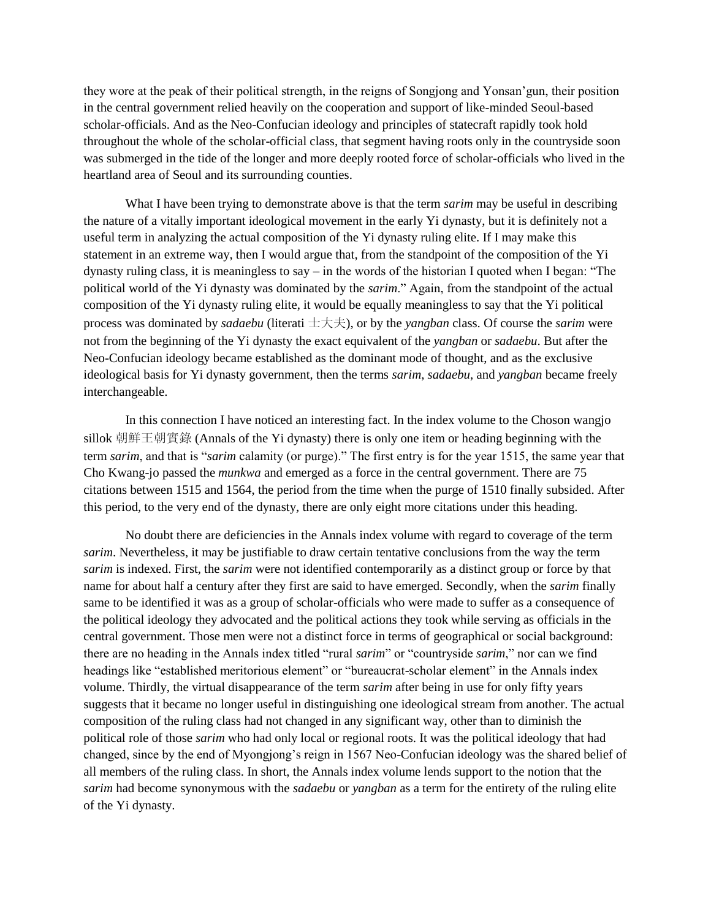they wore at the peak of their political strength, in the reigns of Songjong and Yonsan"gun, their position in the central government relied heavily on the cooperation and support of like-minded Seoul-based scholar-officials. And as the Neo-Confucian ideology and principles of statecraft rapidly took hold throughout the whole of the scholar-official class, that segment having roots only in the countryside soon was submerged in the tide of the longer and more deeply rooted force of scholar-officials who lived in the heartland area of Seoul and its surrounding counties.

What I have been trying to demonstrate above is that the term *sarim* may be useful in describing the nature of a vitally important ideological movement in the early Yi dynasty, but it is definitely not a useful term in analyzing the actual composition of the Yi dynasty ruling elite. If I may make this statement in an extreme way, then I would argue that, from the standpoint of the composition of the Yi dynasty ruling class, it is meaningless to say – in the words of the historian I quoted when I began: "The political world of the Yi dynasty was dominated by the *sarim*." Again, from the standpoint of the actual composition of the Yi dynasty ruling elite, it would be equally meaningless to say that the Yi political process was dominated by *sadaebu* (literati 士大夫), or by the *yangban* class. Of course the *sarim* were not from the beginning of the Yi dynasty the exact equivalent of the *yangban* or *sadaebu*. But after the Neo-Confucian ideology became established as the dominant mode of thought, and as the exclusive ideological basis for Yi dynasty government, then the terms *sarim*, *sadaebu*, and *yangban* became freely interchangeable.

In this connection I have noticed an interesting fact. In the index volume to the Choson wangjo sillok 朝鮮王朝實錄 (Annals of the Yi dynasty) there is only one item or heading beginning with the term *sarim*, and that is "*sarim* calamity (or purge)." The first entry is for the year 1515, the same year that Cho Kwang-jo passed the *munkwa* and emerged as a force in the central government. There are 75 citations between 1515 and 1564, the period from the time when the purge of 1510 finally subsided. After this period, to the very end of the dynasty, there are only eight more citations under this heading.

No doubt there are deficiencies in the Annals index volume with regard to coverage of the term *sarim*. Nevertheless, it may be justifiable to draw certain tentative conclusions from the way the term *sarim* is indexed. First, the *sarim* were not identified contemporarily as a distinct group or force by that name for about half a century after they first are said to have emerged. Secondly, when the *sarim* finally same to be identified it was as a group of scholar-officials who were made to suffer as a consequence of the political ideology they advocated and the political actions they took while serving as officials in the central government. Those men were not a distinct force in terms of geographical or social background: there are no heading in the Annals index titled "rural *sarim*" or "countryside *sarim*," nor can we find headings like "established meritorious element" or "bureaucrat-scholar element" in the Annals index volume. Thirdly, the virtual disappearance of the term *sarim* after being in use for only fifty years suggests that it became no longer useful in distinguishing one ideological stream from another. The actual composition of the ruling class had not changed in any significant way, other than to diminish the political role of those *sarim* who had only local or regional roots. It was the political ideology that had changed, since by the end of Myongjong"s reign in 1567 Neo-Confucian ideology was the shared belief of all members of the ruling class. In short, the Annals index volume lends support to the notion that the *sarim* had become synonymous with the *sadaebu* or *yangban* as a term for the entirety of the ruling elite of the Yi dynasty.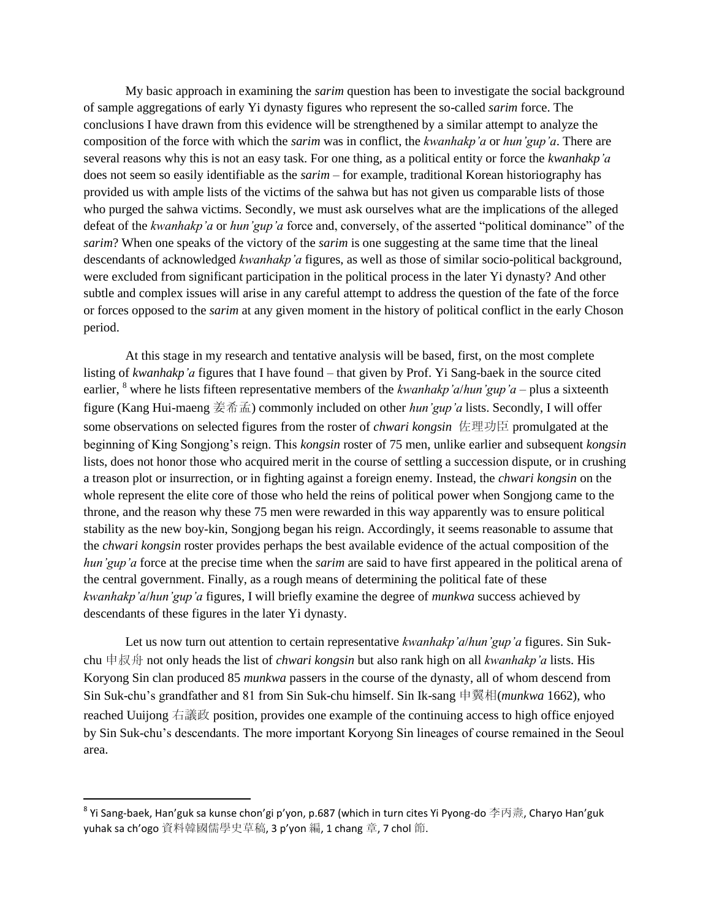My basic approach in examining the *sarim* question has been to investigate the social background of sample aggregations of early Yi dynasty figures who represent the so-called *sarim* force. The conclusions I have drawn from this evidence will be strengthened by a similar attempt to analyze the composition of the force with which the *sarim* was in conflict, the *kwanhakp'a* or *hun'gup'a*. There are several reasons why this is not an easy task. For one thing, as a political entity or force the *kwanhakp'a* does not seem so easily identifiable as the *sarim* – for example, traditional Korean historiography has provided us with ample lists of the victims of the sahwa but has not given us comparable lists of those who purged the sahwa victims. Secondly, we must ask ourselves what are the implications of the alleged defeat of the *kwanhakp'a* or *hun'gup'a* force and, conversely, of the asserted "political dominance" of the *sarim*? When one speaks of the victory of the *sarim* is one suggesting at the same time that the lineal descendants of acknowledged *kwanhakp'a* figures, as well as those of similar socio-political background, were excluded from significant participation in the political process in the later Yi dynasty? And other subtle and complex issues will arise in any careful attempt to address the question of the fate of the force or forces opposed to the *sarim* at any given moment in the history of political conflict in the early Choson period.

At this stage in my research and tentative analysis will be based, first, on the most complete listing of *kwanhakp'a* figures that I have found – that given by Prof. Yi Sang-baek in the source cited earlier, <sup>8</sup> where he lists fifteen representative members of the *kwanhakp'a/hun'gup'a* – plus a sixteenth figure (Kang Hui-maeng 姜希孟) commonly included on other *hun'gup'a* lists. Secondly, I will offer some observations on selected figures from the roster of *chwari kongsin* 佐理功臣 promulgated at the beginning of King Songjong"s reign. This *kongsin* roster of 75 men, unlike earlier and subsequent *kongsin* lists, does not honor those who acquired merit in the course of settling a succession dispute, or in crushing a treason plot or insurrection, or in fighting against a foreign enemy. Instead, the *chwari kongsin* on the whole represent the elite core of those who held the reins of political power when Songjong came to the throne, and the reason why these 75 men were rewarded in this way apparently was to ensure political stability as the new boy-kin, Songjong began his reign. Accordingly, it seems reasonable to assume that the *chwari kongsin* roster provides perhaps the best available evidence of the actual composition of the *hun'gup'a* force at the precise time when the *sarim* are said to have first appeared in the political arena of the central government. Finally, as a rough means of determining the political fate of these *kwanhakp'a*/*hun'gup'a* figures, I will briefly examine the degree of *munkwa* success achieved by descendants of these figures in the later Yi dynasty.

Let us now turn out attention to certain representative *kwanhakp'a*/*hun'gup'a* figures. Sin Sukchu 申叔舟 not only heads the list of *chwari kongsin* but also rank high on all *kwanhakp'a* lists. His Koryong Sin clan produced 85 *munkwa* passers in the course of the dynasty, all of whom descend from Sin Suk-chu"s grandfather and 81 from Sin Suk-chu himself. Sin Ik-sang 申翼相(*munkwa* 1662), who reached Uuijong 右議政 position, provides one example of the continuing access to high office enjoyed by Sin Suk-chu"s descendants. The more important Koryong Sin lineages of course remained in the Seoul area.

 $^8$  Yi Sang-baek, Han'guk sa kunse chon'gi p'yon, p.687 (which in turn cites Yi Pyong-do 李丙燾, Charyo Han'guk yuhak sa ch'ogo 資料韓國儒學史草稿, 3 p'yon 編, 1 chang 章, 7 chol 節.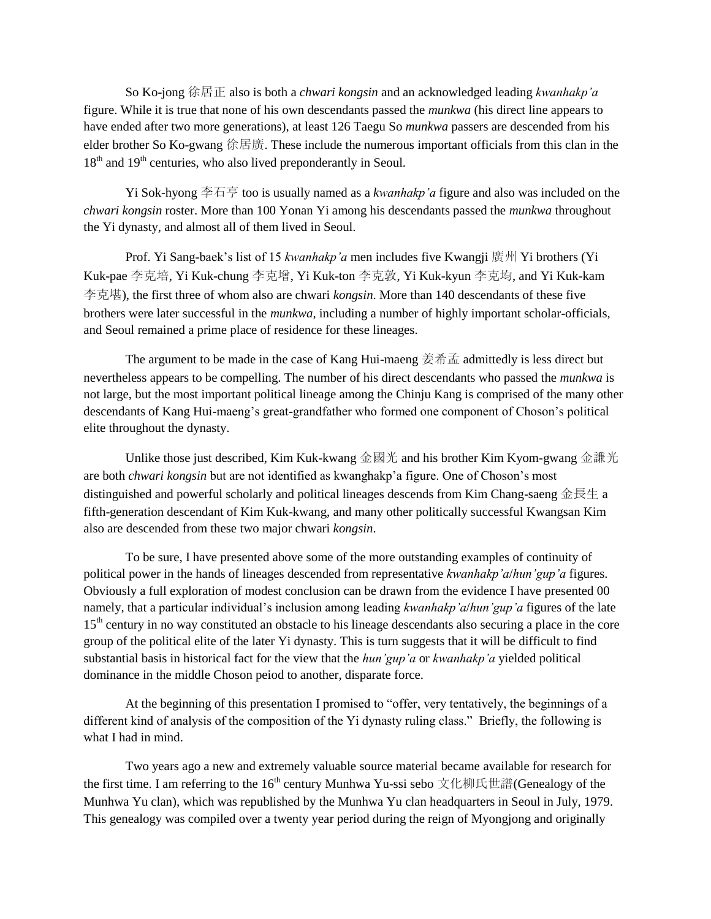So Ko-jong 徐居正 also is both a *chwari kongsin* and an acknowledged leading *kwanhakp'a* figure. While it is true that none of his own descendants passed the *munkwa* (his direct line appears to have ended after two more generations), at least 126 Taegu So *munkwa* passers are descended from his elder brother So Ko-gwang 徐居廣. These include the numerous important officials from this clan in the  $18<sup>th</sup>$  and  $19<sup>th</sup>$  centuries, who also lived preponderantly in Seoul.

Yi Sok-hyong 李石亨 too is usually named as a *kwanhakp'a* figure and also was included on the *chwari kongsin* roster. More than 100 Yonan Yi among his descendants passed the *munkwa* throughout the Yi dynasty, and almost all of them lived in Seoul.

Prof. Yi Sang-baek"s list of 15 *kwanhakp'a* men includes five Kwangji 廣州 Yi brothers (Yi Kuk-pae 李克培, Yi Kuk-chung 李克增, Yi Kuk-ton 李克敦, Yi Kuk-kyun 李克均, and Yi Kuk-kam 李克堪), the first three of whom also are chwari *kongsin*. More than 140 descendants of these five brothers were later successful in the *munkwa*, including a number of highly important scholar-officials, and Seoul remained a prime place of residence for these lineages.

The argument to be made in the case of Kang Hui-maeng 姜希孟 admittedly is less direct but nevertheless appears to be compelling. The number of his direct descendants who passed the *munkwa* is not large, but the most important political lineage among the Chinju Kang is comprised of the many other descendants of Kang Hui-maeng"s great-grandfather who formed one component of Choson"s political elite throughout the dynasty.

Unlike those just described, Kim Kuk-kwang 金國光 and his brother Kim Kyom-gwang 金謙光 are both *chwari kongsin* but are not identified as kwanghakp"a figure. One of Choson"s most distinguished and powerful scholarly and political lineages descends from Kim Chang-saeng 金長生 a fifth-generation descendant of Kim Kuk-kwang, and many other politically successful Kwangsan Kim also are descended from these two major chwari *kongsin*.

To be sure, I have presented above some of the more outstanding examples of continuity of political power in the hands of lineages descended from representative *kwanhakp'a*/*hun'gup'a* figures. Obviously a full exploration of modest conclusion can be drawn from the evidence I have presented 00 namely, that a particular individual"s inclusion among leading *kwanhakp'a*/*hun'gup'a* figures of the late 15<sup>th</sup> century in no way constituted an obstacle to his lineage descendants also securing a place in the core group of the political elite of the later Yi dynasty. This is turn suggests that it will be difficult to find substantial basis in historical fact for the view that the *hun'gup'a* or *kwanhakp'a* yielded political dominance in the middle Choson peiod to another, disparate force.

At the beginning of this presentation I promised to "offer, very tentatively, the beginnings of a different kind of analysis of the composition of the Yi dynasty ruling class." Briefly, the following is what I had in mind.

Two years ago a new and extremely valuable source material became available for research for the first time. I am referring to the 16<sup>th</sup> century Munhwa Yu-ssi sebo 文化柳氏世譜(Genealogy of the Munhwa Yu clan), which was republished by the Munhwa Yu clan headquarters in Seoul in July, 1979. This genealogy was compiled over a twenty year period during the reign of Myongjong and originally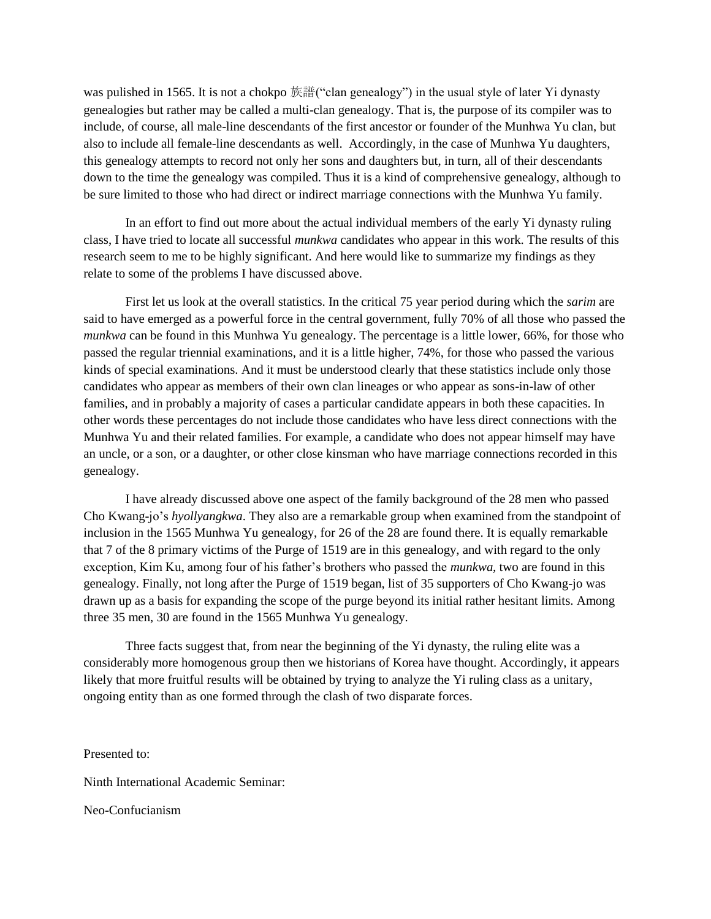was pulished in 1565. It is not a chokpo 族譜("clan genealogy") in the usual style of later Yi dynasty genealogies but rather may be called a multi-clan genealogy. That is, the purpose of its compiler was to include, of course, all male-line descendants of the first ancestor or founder of the Munhwa Yu clan, but also to include all female-line descendants as well. Accordingly, in the case of Munhwa Yu daughters, this genealogy attempts to record not only her sons and daughters but, in turn, all of their descendants down to the time the genealogy was compiled. Thus it is a kind of comprehensive genealogy, although to be sure limited to those who had direct or indirect marriage connections with the Munhwa Yu family.

In an effort to find out more about the actual individual members of the early Yi dynasty ruling class, I have tried to locate all successful *munkwa* candidates who appear in this work. The results of this research seem to me to be highly significant. And here would like to summarize my findings as they relate to some of the problems I have discussed above.

First let us look at the overall statistics. In the critical 75 year period during which the *sarim* are said to have emerged as a powerful force in the central government, fully 70% of all those who passed the *munkwa* can be found in this Munhwa Yu genealogy. The percentage is a little lower, 66%, for those who passed the regular triennial examinations, and it is a little higher, 74%, for those who passed the various kinds of special examinations. And it must be understood clearly that these statistics include only those candidates who appear as members of their own clan lineages or who appear as sons-in-law of other families, and in probably a majority of cases a particular candidate appears in both these capacities. In other words these percentages do not include those candidates who have less direct connections with the Munhwa Yu and their related families. For example, a candidate who does not appear himself may have an uncle, or a son, or a daughter, or other close kinsman who have marriage connections recorded in this genealogy.

I have already discussed above one aspect of the family background of the 28 men who passed Cho Kwang-jo"s *hyollyangkwa*. They also are a remarkable group when examined from the standpoint of inclusion in the 1565 Munhwa Yu genealogy, for 26 of the 28 are found there. It is equally remarkable that 7 of the 8 primary victims of the Purge of 1519 are in this genealogy, and with regard to the only exception, Kim Ku, among four of his father"s brothers who passed the *munkwa,* two are found in this genealogy. Finally, not long after the Purge of 1519 began, list of 35 supporters of Cho Kwang-jo was drawn up as a basis for expanding the scope of the purge beyond its initial rather hesitant limits. Among three 35 men, 30 are found in the 1565 Munhwa Yu genealogy.

Three facts suggest that, from near the beginning of the Yi dynasty, the ruling elite was a considerably more homogenous group then we historians of Korea have thought. Accordingly, it appears likely that more fruitful results will be obtained by trying to analyze the Yi ruling class as a unitary, ongoing entity than as one formed through the clash of two disparate forces.

Presented to:

Ninth International Academic Seminar:

Neo-Confucianism